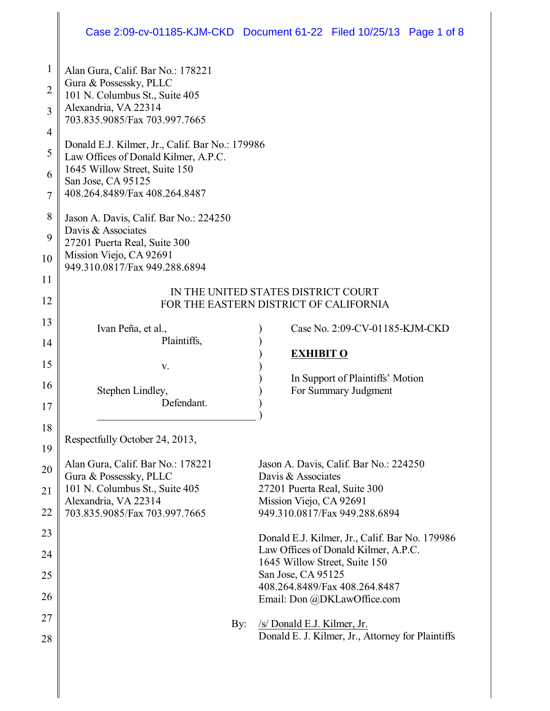## Case 2:09-cv-01185-KJM-CKD Document 61-22 Filed 10/25/13 Page 1 of 8

| $\mathbf{1}$   | Alan Gura, Calif. Bar No.: 178221                                                       |                                                         |  |
|----------------|-----------------------------------------------------------------------------------------|---------------------------------------------------------|--|
| $\overline{2}$ | Gura & Possessky, PLLC                                                                  |                                                         |  |
|                | 101 N. Columbus St., Suite 405                                                          |                                                         |  |
| 3              | Alexandria, VA 22314<br>703.835.9085/Fax 703.997.7665                                   |                                                         |  |
| $\overline{4}$ |                                                                                         |                                                         |  |
| 5              | Donald E.J. Kilmer, Jr., Calif. Bar No.: 179986<br>Law Offices of Donald Kilmer, A.P.C. |                                                         |  |
| 6              | 1645 Willow Street, Suite 150                                                           |                                                         |  |
|                | San Jose, CA 95125                                                                      |                                                         |  |
| 7              | 408.264.8489/Fax 408.264.8487                                                           |                                                         |  |
| 8              | Jason A. Davis, Calif. Bar No.: 224250                                                  |                                                         |  |
| 9              | Davis & Associates<br>27201 Puerta Real, Suite 300                                      |                                                         |  |
| 10             | Mission Viejo, CA 92691                                                                 |                                                         |  |
|                | 949.310.0817/Fax 949.288.6894                                                           |                                                         |  |
| 11             |                                                                                         |                                                         |  |
| 12             | IN THE UNITED STATES DISTRICT COURT<br>FOR THE EASTERN DISTRICT OF CALIFORNIA           |                                                         |  |
| 13             |                                                                                         |                                                         |  |
|                | Ivan Peña, et al.,                                                                      | Case No. 2:09-CV-01185-KJM-CKD                          |  |
| 14             | Plaintiffs,                                                                             | <b>EXHIBIT O</b>                                        |  |
| 15             | V.                                                                                      |                                                         |  |
| 16             |                                                                                         | In Support of Plaintiffs' Motion                        |  |
|                | Stephen Lindley,<br>Defendant.                                                          | For Summary Judgment                                    |  |
| 17             |                                                                                         |                                                         |  |
| 18             |                                                                                         |                                                         |  |
| 19             | Respectfully October 24, 2013,                                                          |                                                         |  |
| 20             | Alan Gura, Calif. Bar No.: 178221                                                       | Jason A. Davis, Calif. Bar No.: 224250                  |  |
|                | Gura & Possessky, PLLC                                                                  | Davis & Associates                                      |  |
| 21             | 101 N. Columbus St., Suite 405<br>Alexandria, VA 22314                                  | 27201 Puerta Real, Suite 300<br>Mission Viejo, CA 92691 |  |
| 22             | 703.835.9085/Fax 703.997.7665                                                           | 949.310.0817/Fax 949.288.6894                           |  |
| 23             |                                                                                         | Donald E.J. Kilmer, Jr., Calif. Bar No. 179986          |  |
| 24             |                                                                                         | Law Offices of Donald Kilmer, A.P.C.                    |  |
|                |                                                                                         | 1645 Willow Street, Suite 150                           |  |
| 25             |                                                                                         | San Jose, CA 95125<br>408.264.8489/Fax 408.264.8487     |  |
| 26             |                                                                                         | Email: Don @DKLawOffice.com                             |  |
| 27             | By:                                                                                     | /s/ Donald E.J. Kilmer, Jr.                             |  |
| 28             |                                                                                         | Donald E. J. Kilmer, Jr., Attorney for Plaintiffs       |  |
|                |                                                                                         |                                                         |  |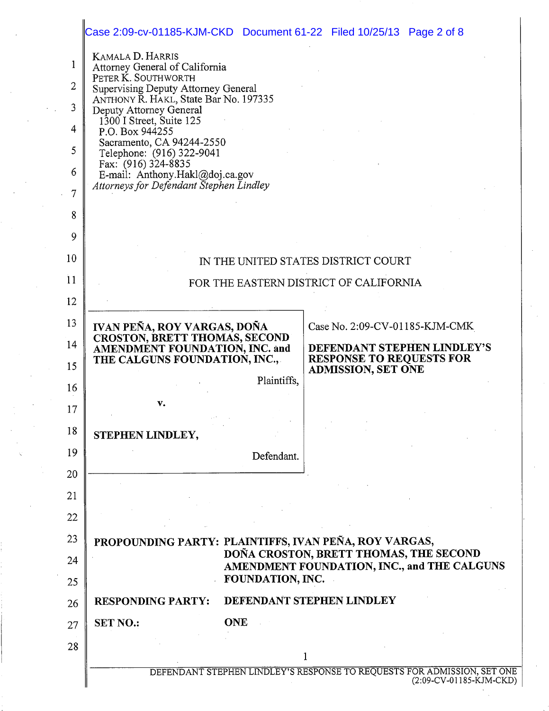|                                      | Case 2:09-cv-01185-KJM-CKD Document 61-22 Filed 10/25/13 Page 2 of 8                                                                                                                                                                                                                                                                                                                                               |  |
|--------------------------------------|--------------------------------------------------------------------------------------------------------------------------------------------------------------------------------------------------------------------------------------------------------------------------------------------------------------------------------------------------------------------------------------------------------------------|--|
| 1<br>2<br>3<br>4<br>5<br>6<br>7<br>8 | <b>KAMALA D. HARRIS</b><br>Attorney General of California<br>PETER K. SOUTHWORTH<br><b>Supervising Deputy Attorney General</b><br>ANTHONY R. HAKL, State Bar No. 197335<br>Deputy Attorney General<br>1300 I Street, Suite 125<br>P.O. Box 944255<br>Sacramento, CA 94244-2550<br>Telephone: (916) 322-9041<br>Fax: $(916)$ 324-8835<br>E-mail: Anthony.Hakl@doj.ca.gov<br>Attorneys for Defendant Stephen Lindley |  |
| 9                                    |                                                                                                                                                                                                                                                                                                                                                                                                                    |  |
| 10                                   | IN THE UNITED STATES DISTRICT COURT                                                                                                                                                                                                                                                                                                                                                                                |  |
| $\overline{11}$                      | FOR THE EASTERN DISTRICT OF CALIFORNIA                                                                                                                                                                                                                                                                                                                                                                             |  |
| 12                                   |                                                                                                                                                                                                                                                                                                                                                                                                                    |  |
| 13<br>14<br>15                       | IVAN PEÑA, ROY VARGAS, DOÑA<br>Case No. 2:09-CV-01185-KJM-CMK<br>CROSTON, BRETT THOMAS, SECOND<br>DEFENDANT STEPHEN LINDLEY'S<br>AMENDMENT FOUNDATION, INC. and<br><b>RESPONSE TO REQUESTS FOR</b><br>THE CALGUNS FOUNDATION, INC.,<br><b>ADMISSION, SET ONE</b>                                                                                                                                                   |  |
| 16<br>17                             | Plaintiffs,<br>v.                                                                                                                                                                                                                                                                                                                                                                                                  |  |
| 18                                   | STEPHEN LINDLEY,                                                                                                                                                                                                                                                                                                                                                                                                   |  |
| 19                                   | Defendant.                                                                                                                                                                                                                                                                                                                                                                                                         |  |
| 20<br>21                             |                                                                                                                                                                                                                                                                                                                                                                                                                    |  |
| 22                                   |                                                                                                                                                                                                                                                                                                                                                                                                                    |  |
| 23<br>24<br>25                       | PROPOUNDING PARTY: PLAINTIFFS, IVAN PEÑA, ROY VARGAS,<br>DOÑA CROSTON, BRETT THOMAS, THE SECOND<br>AMENDMENT FOUNDATION, INC., and THE CALGUNS<br>FOUNDATION, INC.                                                                                                                                                                                                                                                 |  |
| 26                                   | DEFENDANT STEPHEN LINDLEY<br><b>RESPONDING PARTY:</b>                                                                                                                                                                                                                                                                                                                                                              |  |
| 27                                   | <b>ONE</b><br><b>SET NO.:</b>                                                                                                                                                                                                                                                                                                                                                                                      |  |
| 28                                   | 1                                                                                                                                                                                                                                                                                                                                                                                                                  |  |
|                                      | DEFENDANT STEPHEN LINDLEY'S RESPONSE TO REQUESTS FOR ADMISSION, SET ONE<br>$(2:09$ -CV-01185-KJM-CKD)                                                                                                                                                                                                                                                                                                              |  |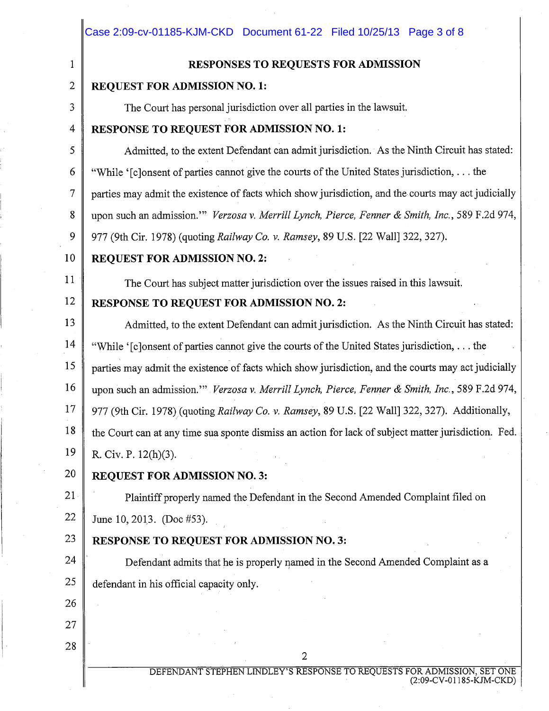| 1                                                                                                    | RESPONSES TO REQUESTS FOR ADMISSION                                                                  |
|------------------------------------------------------------------------------------------------------|------------------------------------------------------------------------------------------------------|
| 2<br><b>REQUEST FOR ADMISSION NO. 1:</b>                                                             |                                                                                                      |
| 3                                                                                                    | The Court has personal jurisdiction over all parties in the lawsuit.                                 |
| 4                                                                                                    | RESPONSE TO REQUEST FOR ADMISSION NO. 1:                                                             |
| 5                                                                                                    | Admitted, to the extent Defendant can admit jurisdiction. As the Ninth Circuit has stated:           |
| 6                                                                                                    | "While '[c]onsent of parties cannot give the courts of the United States jurisdiction,  the          |
| 7                                                                                                    | parties may admit the existence of facts which show jurisdiction, and the courts may act judicially  |
| 8                                                                                                    | upon such an admission."" Verzosa v. Merrill Lynch, Pierce, Fenner & Smith, Inc., 589 F.2d 974,      |
| 9                                                                                                    | 977 (9th Cir. 1978) (quoting Railway Co. v. Ramsey, 89 U.S. [22 Wall] 322, 327).                     |
| 10                                                                                                   | <b>REQUEST FOR ADMISSION NO. 2:</b>                                                                  |
| 11                                                                                                   | The Court has subject matter jurisdiction over the issues raised in this lawsuit.                    |
| 12                                                                                                   | <b>RESPONSE TO REQUEST FOR ADMISSION NO. 2:</b>                                                      |
| 13                                                                                                   | Admitted, to the extent Defendant can admit jurisdiction. As the Ninth Circuit has stated:           |
| 14                                                                                                   | "While '[c]onsent of parties cannot give the courts of the United States jurisdiction,  the          |
| 15                                                                                                   | parties may admit the existence of facts which show jurisdiction, and the courts may act judicially  |
| 16                                                                                                   | upon such an admission." Verzosa v. Merrill Lynch, Pierce, Fenner & Smith, Inc., 589 F.2d 974,       |
| 17<br>977 (9th Cir. 1978) (quoting Railway Co. v. Ramsey, 89 U.S. [22 Wall] 322, 327). Additionally, |                                                                                                      |
| 18                                                                                                   | the Court can at any time sua sponte dismiss an action for lack of subject matter jurisdiction. Fed. |
| 19                                                                                                   | R. Civ. P. 12(h)(3).                                                                                 |
| 20                                                                                                   | <b>REQUEST FOR ADMISSION NO. 3:</b>                                                                  |
| 21                                                                                                   | Plaintiff properly named the Defendant in the Second Amended Complaint filed on                      |
| 22                                                                                                   | June 10, 2013. (Doc #53).                                                                            |
| 23                                                                                                   | <b>RESPONSE TO REQUEST FOR ADMISSION NO. 3:</b>                                                      |
| 24                                                                                                   | Defendant admits that he is properly named in the Second Amended Complaint as a                      |
| 25                                                                                                   | defendant in his official capacity only.                                                             |
| 26                                                                                                   |                                                                                                      |
| 27                                                                                                   |                                                                                                      |
| 28                                                                                                   | $\overline{2}$                                                                                       |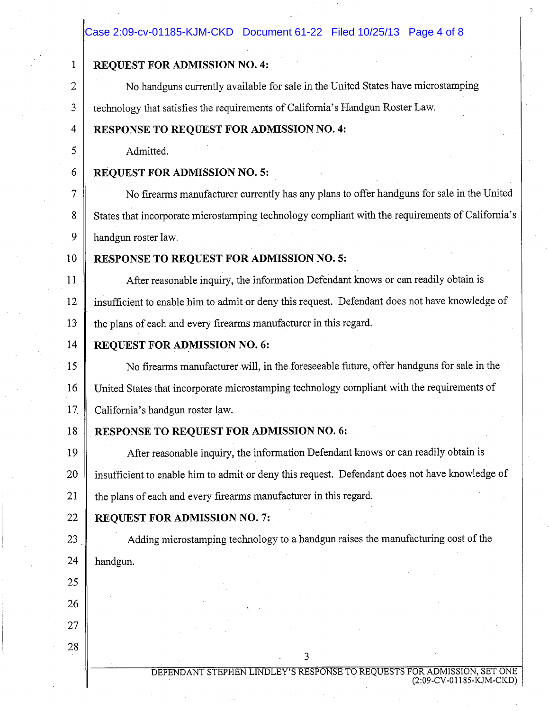## Case 2:09-cv-01185-KJM-CKD Document 61-22 Filed 10/25/13 Page 4 of 8

Ć.

| 1              | <b>REQUEST FOR ADMISSION NO. 4:</b>                                                              |  |  |
|----------------|--------------------------------------------------------------------------------------------------|--|--|
| $\overline{2}$ | No handguns currently available for sale in the United States have microstamping                 |  |  |
| 3              | technology that satisfies the requirements of California's Handgun Roster Law.                   |  |  |
| 4              | <b>RESPONSE TO REQUEST FOR ADMISSION NO. 4:</b>                                                  |  |  |
| 5              | Admitted.                                                                                        |  |  |
| 6              | <b>REQUEST FOR ADMISSION NO. 5:</b>                                                              |  |  |
| 7              | No firearms manufacturer currently has any plans to offer handguns for sale in the United        |  |  |
| 8              | States that incorporate microstamping technology compliant with the requirements of California's |  |  |
| 9              | handgun roster law.                                                                              |  |  |
| 10             | RESPONSE TO REQUEST FOR ADMISSION NO. 5:                                                         |  |  |
| 11             | After reasonable inquiry, the information Defendant knows or can readily obtain is               |  |  |
| 12             | insufficient to enable him to admit or deny this request. Defendant does not have knowledge of   |  |  |
| 13             | the plans of each and every firearms manufacturer in this regard.                                |  |  |
| 14             | <b>REQUEST FOR ADMISSION NO. 6:</b>                                                              |  |  |
| 15             | No firearms manufacturer will, in the foreseeable future, offer handguns for sale in the         |  |  |
| 16             | United States that incorporate microstamping technology compliant with the requirements of       |  |  |
| 17             | California's handgun roster law.                                                                 |  |  |
| 18             | RESPONSE TO REQUEST FOR ADMISSION NO. 6:                                                         |  |  |
| 19             | After reasonable inquiry, the information Defendant knows or can readily obtain is               |  |  |
| 20             | insufficient to enable him to admit or deny this request. Defendant does not have knowledge of   |  |  |
| 21             | the plans of each and every firearms manufacturer in this regard.                                |  |  |
| 22             | <b>REQUEST FOR ADMISSION NO. 7:</b>                                                              |  |  |
| 23             | Adding microstamping technology to a handgun raises the manufacturing cost of the                |  |  |
| 24             | handgun.                                                                                         |  |  |
| 25             |                                                                                                  |  |  |
| 26             |                                                                                                  |  |  |
| 27             |                                                                                                  |  |  |
| 28             | 3                                                                                                |  |  |
|                | DEFENDANT STEPHEN LINDLEY'S RESPONSE TO REQUESTS FOR ADMISSION, SET ONE                          |  |  |
|                | (2:09-CV-01185-KJM-CKD)                                                                          |  |  |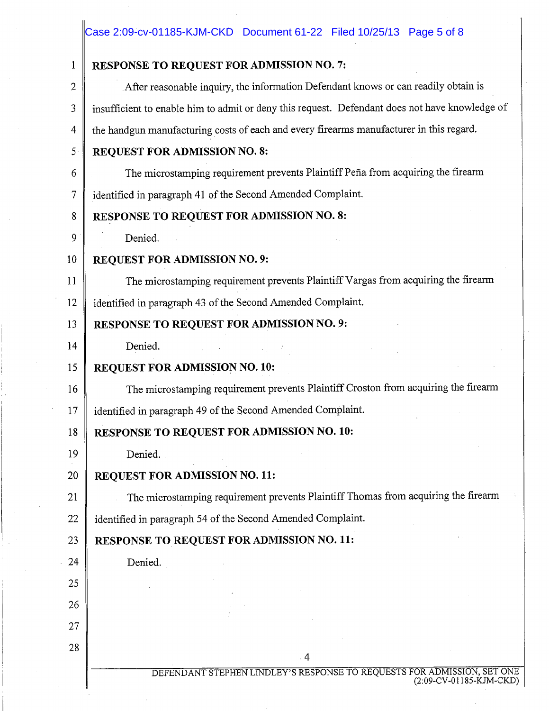# Case 2:09-cv-01185-KJM-CKD Document 61-22 Filed 10/25/13 Page 5 of 8

| 1              | RESPONSE TO REQUEST FOR ADMISSION NO. 7:                                                           |  |
|----------------|----------------------------------------------------------------------------------------------------|--|
| $\overline{2}$ | After reasonable inquiry, the information Defendant knows or can readily obtain is                 |  |
| 3              | insufficient to enable him to admit or deny this request. Defendant does not have knowledge of     |  |
| 4              | the handgun manufacturing costs of each and every firearms manufacturer in this regard.            |  |
| 5              | REQUEST FOR ADMISSION NO. 8:                                                                       |  |
| 6              | The microstamping requirement prevents Plaintiff Peña from acquiring the firearm                   |  |
| 7              | identified in paragraph 41 of the Second Amended Complaint.                                        |  |
| 8              | RESPONSE TO REQUEST FOR ADMISSION NO. 8:                                                           |  |
| 9              | Denied.                                                                                            |  |
| 10             | REQUEST FOR ADMISSION NO. 9:                                                                       |  |
| 11             | The microstamping requirement prevents Plaintiff Vargas from acquiring the firearm                 |  |
| 12             | identified in paragraph 43 of the Second Amended Complaint.                                        |  |
| 13             | RESPONSE TO REQUEST FOR ADMISSION NO. 9:                                                           |  |
| 14             | Denied.                                                                                            |  |
| 15             | <b>REQUEST FOR ADMISSION NO. 10:</b>                                                               |  |
| 16             | The microstamping requirement prevents Plaintiff Croston from acquiring the firearm                |  |
| 17             | identified in paragraph 49 of the Second Amended Complaint.                                        |  |
| 18             | RESPONSE TO REQUEST FOR ADMISSION NO. 10:                                                          |  |
| 19             | Denied.                                                                                            |  |
| 20             | <b>REQUEST FOR ADMISSION NO. 11:</b>                                                               |  |
| 21             | The microstamping requirement prevents Plaintiff Thomas from acquiring the firearm                 |  |
| 22             | identified in paragraph 54 of the Second Amended Complaint.                                        |  |
| 23             | <b>RESPONSE TO REQUEST FOR ADMISSION NO. 11:</b>                                                   |  |
| 24             | Denied.                                                                                            |  |
| 25             |                                                                                                    |  |
| 26             |                                                                                                    |  |
| 27             |                                                                                                    |  |
| 28             | 4                                                                                                  |  |
|                | DEFENDANT STEPHEN LINDLEY'S RESPONSE TO REQUESTS FOR ADMISSION, SET ONE<br>(2:09-CV-01185-KJM-CKD) |  |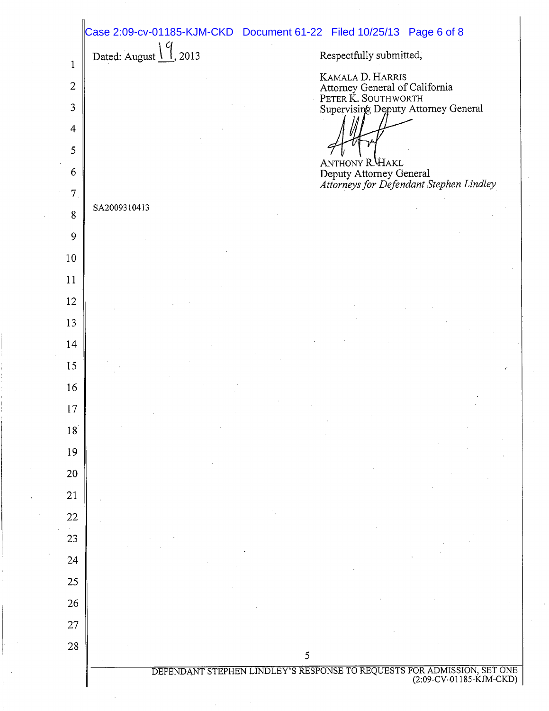|                | Case 2:09-cv-01185-KJM-CKD Document 61-22 Filed 10/25/13 Page 6 of 8                            |
|----------------|-------------------------------------------------------------------------------------------------|
| 1              | Dated: August $\frac{1}{9}$ , 2013<br>Respectfully submitted,                                   |
| $\overline{2}$ | KAMALA D. HARRIS                                                                                |
| 3              | Attorney General of California<br>PETER K. SOUTHWORTH<br>Supervising Deputy Attorney General    |
| $\overline{4}$ |                                                                                                 |
| 5              |                                                                                                 |
| 6              | ANTHONY R. HAKL<br>Deputy Attorney General<br>Attorneys for Defendant Stephen Lindley           |
| 7 <sub>1</sub> |                                                                                                 |
| 8              | SA2009310413                                                                                    |
| 9              |                                                                                                 |
| 10             |                                                                                                 |
| 11             |                                                                                                 |
| 12             |                                                                                                 |
| 13             |                                                                                                 |
| 14             |                                                                                                 |
| 15             |                                                                                                 |
| 16<br>17       |                                                                                                 |
| 18             |                                                                                                 |
| 19             |                                                                                                 |
| 20             |                                                                                                 |
| 21             |                                                                                                 |
| 22             |                                                                                                 |
| 23             |                                                                                                 |
| 24             |                                                                                                 |
| 25             |                                                                                                 |
| 26             |                                                                                                 |
| 27             |                                                                                                 |
| 28             | 5                                                                                               |
|                | DEFENDANT STEPHEN LINDLEY'S RESPONSE TO REQUESTS FOR ADMISSION, SET ONE (2:09-CV-01185-KJM-CKD) |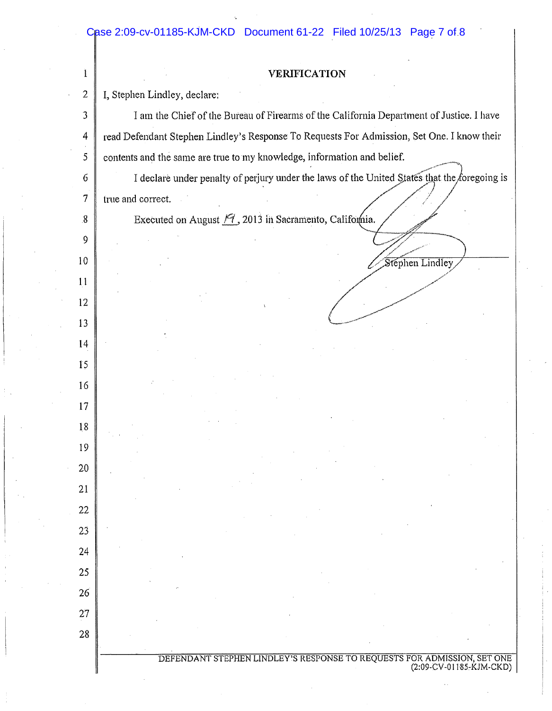#### Case 2:09-cv-01185-KJM-CKD Document 61-22 Filed 10/25/13 Page 7 of 8

## **VERIFICATION**  $\mathbf{1}$ I, Stephen Lindley, declare:  $\overline{2}$  $\mathfrak{Z}$ I am the Chief of the Bureau of Firearms of the California Department of Justice. I have  $\overline{4}$ read Defendant Stephen Lindley's Response To Requests For Admission, Set One. I know their 5 contents and the same are true to my knowledge, information and belief. I declare under penalty of perjury under the laws of the United States that the foregoing is  $\epsilon$  $\tau$ true and correct. Executed on August  $\mathcal{F}$ , 2013 in Sacramento, California.  $8\,$ 9  $10$ Stephen Lindley 11 12 13  $14$ 15 16 17 18 19 20 21 22 23 24 25  $26$ 27 28

DEFENDANT STEPHEN LINDLEY'S RESPONSE TO REQUESTS FOR ADMISSION, SET ONE (2:09-CV-01185-KJM-CKD)